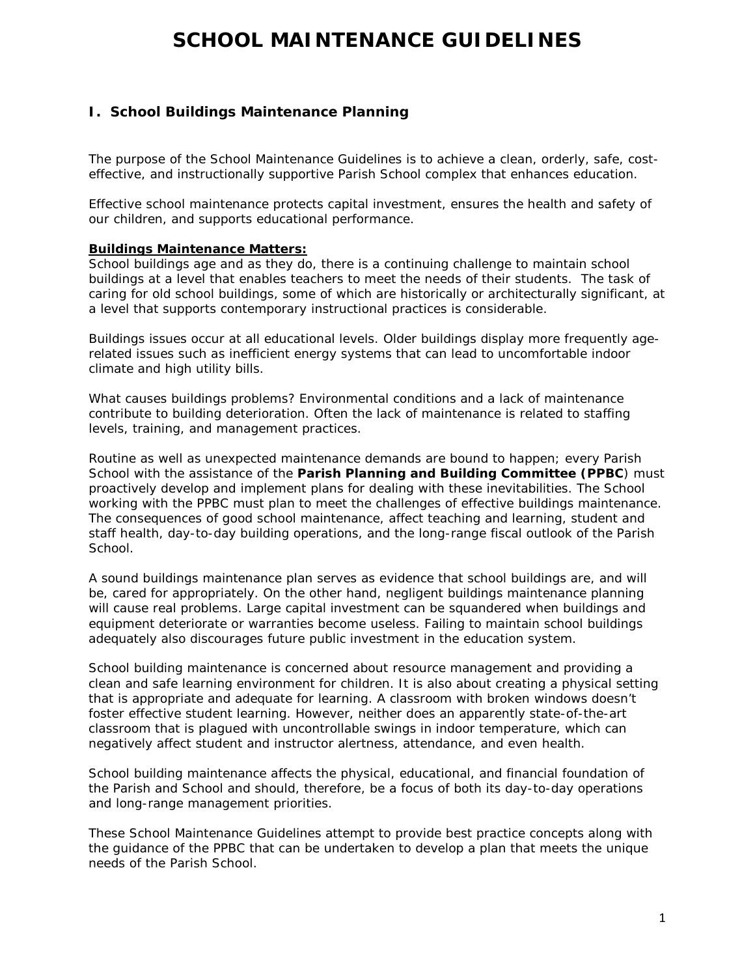# **SCHOOL MAINTENANCE GUIDELINES**

# **I. School Buildings Maintenance Planning**

The purpose of the School Maintenance Guidelines is to achieve a clean, orderly, safe, costeffective, and instructionally supportive Parish School complex that enhances education.

Effective school maintenance protects capital investment, ensures the health and safety of our children, and supports educational performance.

#### **Buildings Maintenance Matters:**

School buildings age and as they do, there is a continuing challenge to maintain school buildings at a level that enables teachers to meet the needs of their students. The task of caring for old school buildings, some of which are historically or architecturally significant, at a level that supports contemporary instructional practices is considerable.

Buildings issues occur at all educational levels. Older buildings display more frequently agerelated issues such as inefficient energy systems that can lead to uncomfortable indoor climate and high utility bills.

What causes buildings problems? Environmental conditions and a lack of maintenance contribute to building deterioration. Often the lack of maintenance is related to staffing levels, training, and management practices.

Routine as well as unexpected maintenance demands are bound to happen; every Parish School with the assistance of the **Parish Planning and Building Committee (PPBC**) must proactively develop and implement plans for dealing with these inevitabilities. The School working with the PPBC must plan to meet the challenges of effective buildings maintenance. The consequences of good school maintenance, affect teaching and learning, student and staff health, day-to-day building operations, and the long-range fiscal outlook of the Parish School.

A sound buildings maintenance plan serves as evidence that school buildings are, and will be, cared for appropriately. On the other hand, negligent buildings maintenance planning will cause real problems. Large capital investment can be squandered when buildings and equipment deteriorate or warranties become useless. Failing to maintain school buildings adequately also discourages future public investment in the education system.

School building maintenance is concerned about resource management and providing a clean and safe learning environment for children. It is also about creating a physical setting that is appropriate and adequate for learning. A classroom with broken windows doesn't foster effective student learning. However, neither does an apparently state-of-the-art classroom that is plagued with uncontrollable swings in indoor temperature, which can negatively affect student and instructor alertness, attendance, and even health.

School building maintenance affects the physical, educational, and financial foundation of the Parish and School and should, therefore, be a focus of both its day-to-day operations and long-range management priorities.

These School Maintenance Guidelines attempt to provide best practice concepts along with the guidance of the PPBC that can be undertaken to develop a plan that meets the unique needs of the Parish School.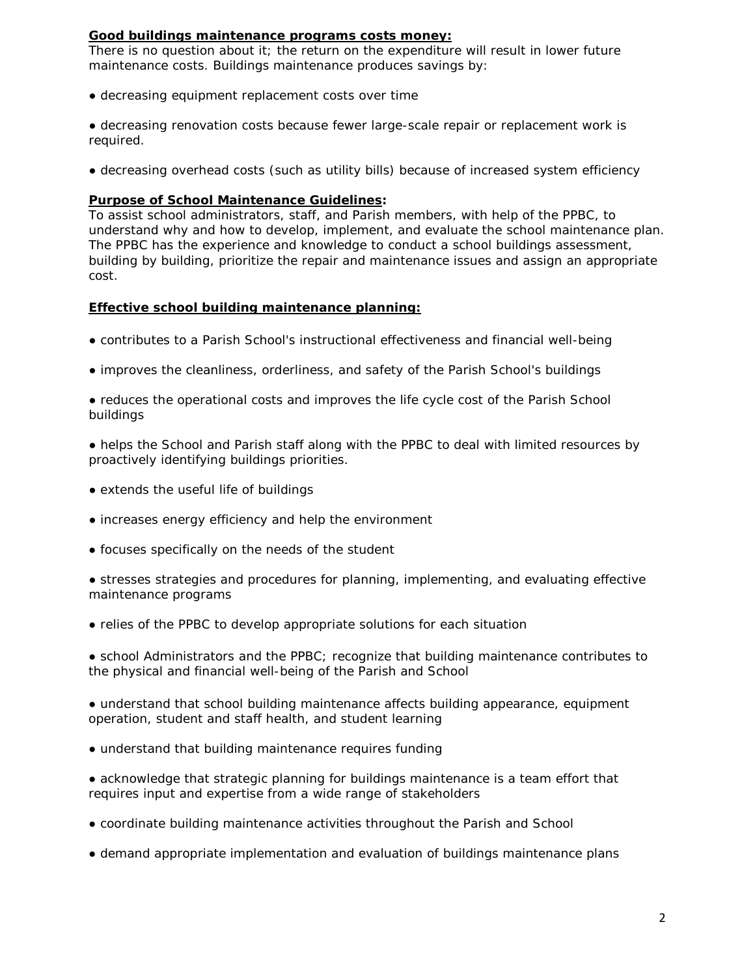#### **Good buildings maintenance programs costs money:**

There is no question about it; the return on the expenditure will result in lower future maintenance costs. Buildings maintenance produces savings by:

• decreasing equipment replacement costs over time

● decreasing renovation costs because fewer large-scale repair or replacement work is required.

● decreasing overhead costs (such as utility bills) because of increased system efficiency

#### **Purpose of School Maintenance Guidelines:**

To assist school administrators, staff, and Parish members, with help of the PPBC, to understand why and how to develop, implement, and evaluate the school maintenance plan. The PPBC has the experience and knowledge to conduct a school buildings assessment, building by building, prioritize the repair and maintenance issues and assign an appropriate cost.

#### **Effective school building maintenance planning:**

- contributes to a Parish School's instructional effectiveness and financial well-being
- improves the cleanliness, orderliness, and safety of the Parish School's buildings

• reduces the operational costs and improves the life cycle cost of the Parish School buildings

- helps the School and Parish staff along with the PPBC to deal with limited resources by proactively identifying buildings priorities.
- extends the useful life of buildings
- increases energy efficiency and help the environment
- focuses specifically on the needs of the student

• stresses strategies and procedures for planning, implementing, and evaluating effective maintenance programs

• relies of the PPBC to develop appropriate solutions for each situation

● school Administrators and the PPBC; recognize that building maintenance contributes to the physical and financial well-being of the Parish and School

● understand that school building maintenance affects building appearance, equipment operation, student and staff health, and student learning

• understand that building maintenance requires funding

● acknowledge that strategic planning for buildings maintenance is a team effort that requires input and expertise from a wide range of stakeholders

- coordinate building maintenance activities throughout the Parish and School
- demand appropriate implementation and evaluation of buildings maintenance plans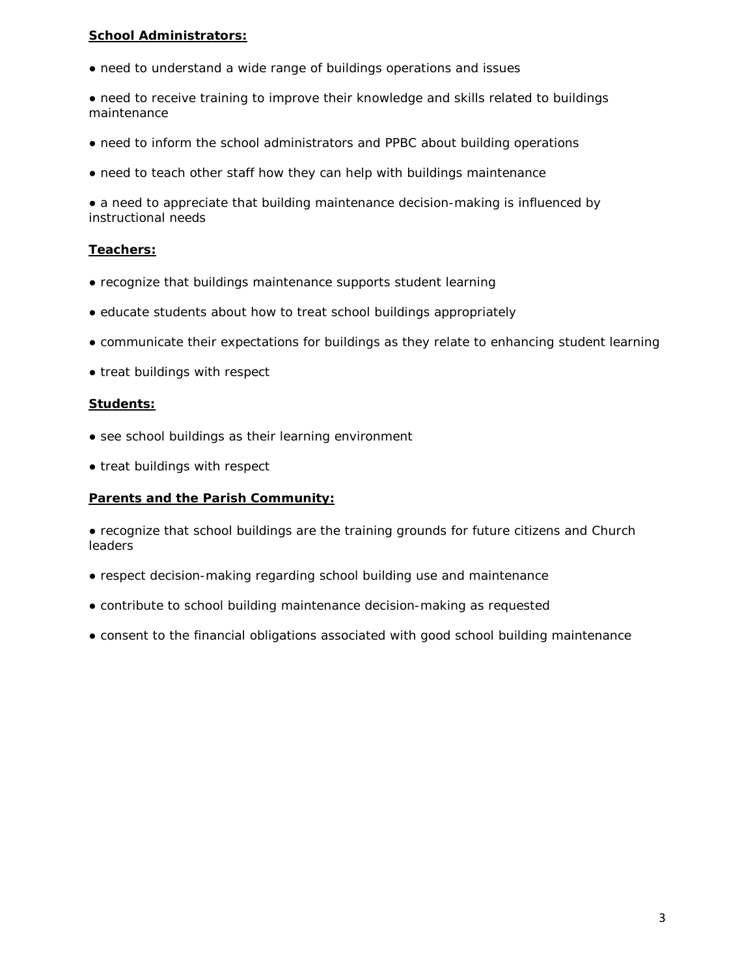#### **School Administrators:**

- need to understand a wide range of buildings operations and issues
- need to receive training to improve their knowledge and skills related to buildings maintenance
- need to inform the school administrators and PPBC about building operations
- need to teach other staff how they can help with buildings maintenance

• a need to appreciate that building maintenance decision-making is influenced by instructional needs

#### **Teachers:**

- recognize that buildings maintenance supports student learning
- educate students about how to treat school buildings appropriately
- communicate their expectations for buildings as they relate to enhancing student learning
- treat buildings with respect

#### **Students:**

- see school buildings as their learning environment
- treat buildings with respect

#### **Parents and the Parish Community:**

● recognize that school buildings are the training grounds for future citizens and Church leaders

- respect decision-making regarding school building use and maintenance
- contribute to school building maintenance decision-making as requested
- consent to the financial obligations associated with good school building maintenance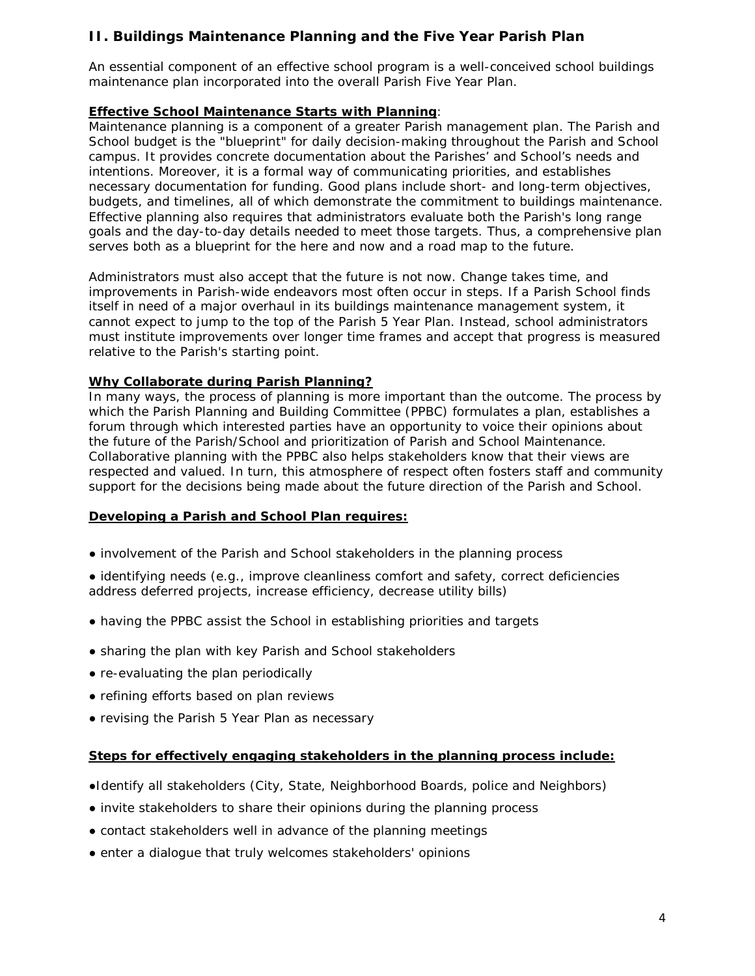# **II. Buildings Maintenance Planning and the Five Year Parish Plan**

An essential component of an effective school program is a well-conceived school buildings maintenance plan incorporated into the overall Parish Five Year Plan.

#### **Effective School Maintenance Starts with Planning**:

Maintenance planning is a component of a greater Parish management plan. The Parish and School budget is the "blueprint" for daily decision-making throughout the Parish and School campus. It provides concrete documentation about the Parishes' and School's needs and intentions. Moreover, it is a formal way of communicating priorities, and establishes necessary documentation for funding. Good plans include short- and long-term objectives, budgets, and timelines, all of which demonstrate the commitment to buildings maintenance. Effective planning also requires that administrators evaluate both the Parish's long range goals and the day-to-day details needed to meet those targets. Thus, a comprehensive plan serves both as a blueprint for the here and now and a road map to the future.

Administrators must also accept that the future is not now. Change takes time, and improvements in Parish-wide endeavors most often occur in steps. If a Parish School finds itself in need of a major overhaul in its buildings maintenance management system, it cannot expect to jump to the top of the Parish 5 Year Plan. Instead, school administrators must institute improvements over longer time frames and accept that progress is measured relative to the Parish's starting point.

### **Why Collaborate during Parish Planning?**

In many ways, the process of planning is more important than the outcome. The process by which the Parish Planning and Building Committee (PPBC) formulates a plan, establishes a forum through which interested parties have an opportunity to voice their opinions about the future of the Parish/School and prioritization of Parish and School Maintenance. Collaborative planning with the PPBC also helps stakeholders know that their views are respected and valued. In turn, this atmosphere of respect often fosters staff and community support for the decisions being made about the future direction of the Parish and School.

#### **Developing a Parish and School Plan requires:**

- involvement of the Parish and School stakeholders in the planning process
- identifying needs (e.g., improve cleanliness comfort and safety, correct deficiencies address deferred projects, increase efficiency, decrease utility bills)
- having the PPBC assist the School in establishing priorities and targets
- sharing the plan with key Parish and School stakeholders
- re-evaluating the plan periodically
- refining efforts based on plan reviews
- revising the Parish 5 Year Plan as necessary

#### **Steps for effectively engaging stakeholders in the planning process include:**

- ●Identify all stakeholders (City, State, Neighborhood Boards, police and Neighbors)
- invite stakeholders to share their opinions during the planning process
- contact stakeholders well in advance of the planning meetings
- enter a dialogue that truly welcomes stakeholders' opinions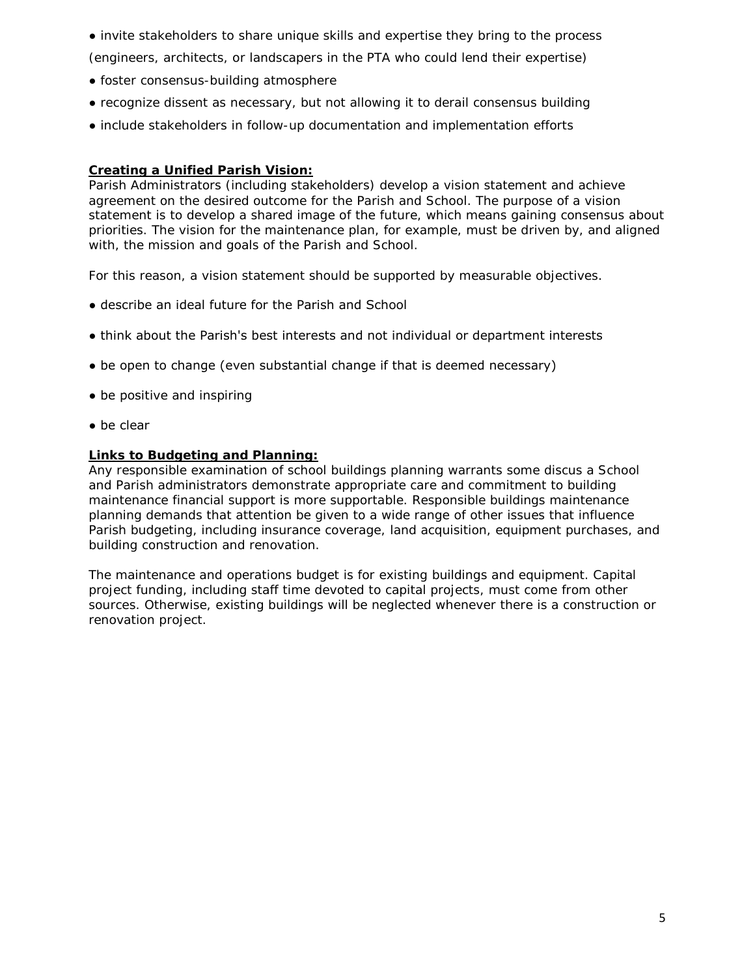● invite stakeholders to share unique skills and expertise they bring to the process

(engineers, architects, or landscapers in the PTA who could lend their expertise)

- foster consensus-building atmosphere
- recognize dissent as necessary, but not allowing it to derail consensus building
- include stakeholders in follow-up documentation and implementation efforts

#### **Creating a Unified Parish Vision:**

Parish Administrators (including stakeholders) develop a vision statement and achieve agreement on the desired outcome for the Parish and School. The purpose of a vision statement is to develop a shared image of the future, which means gaining consensus about priorities. The vision for the maintenance plan, for example, must be driven by, and aligned with, the mission and goals of the Parish and School.

For this reason, a vision statement should be supported by measurable objectives.

- describe an ideal future for the Parish and School
- think about the Parish's best interests and not individual or department interests
- be open to change (even substantial change if that is deemed necessary)
- be positive and inspiring
- be clear

#### **Links to Budgeting and Planning:**

Any responsible examination of school buildings planning warrants some discus a School and Parish administrators demonstrate appropriate care and commitment to building maintenance financial support is more supportable. Responsible buildings maintenance planning demands that attention be given to a wide range of other issues that influence Parish budgeting, including insurance coverage, land acquisition, equipment purchases, and building construction and renovation.

The maintenance and operations budget is for existing buildings and equipment. Capital project funding, including staff time devoted to capital projects, must come from other sources. Otherwise, existing buildings will be neglected whenever there is a construction or renovation project.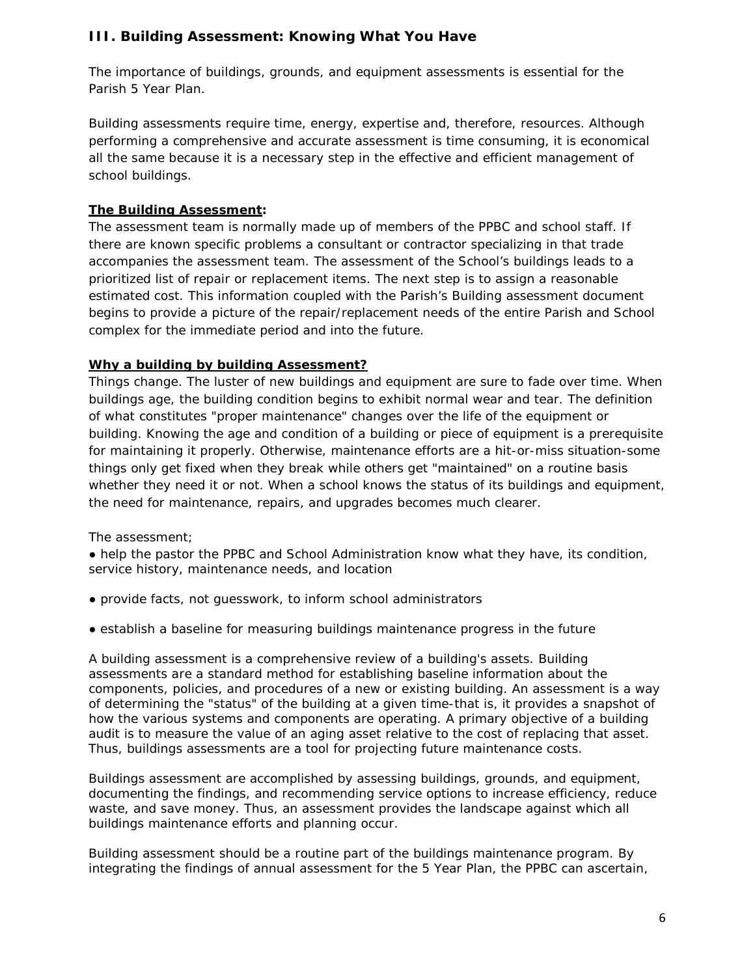# **III. Building Assessment: Knowing What You Have**

The importance of buildings, grounds, and equipment assessments is essential for the Parish 5 Year Plan.

Building assessments require time, energy, expertise and, therefore, resources. Although performing a comprehensive and accurate assessment is time consuming, it is economical all the same because it is a necessary step in the effective and efficient management of school buildings.

# **The Building Assessment:**

The assessment team is normally made up of members of the PPBC and school staff. If there are known specific problems a consultant or contractor specializing in that trade accompanies the assessment team. The assessment of the School's buildings leads to a prioritized list of repair or replacement items. The next step is to assign a reasonable estimated cost. This information coupled with the Parish's Building assessment document begins to provide a picture of the repair/replacement needs of the entire Parish and School complex for the immediate period and into the future.

# **Why a building by building Assessment?**

Things change. The luster of new buildings and equipment are sure to fade over time. When buildings age, the building condition begins to exhibit normal wear and tear. The definition of what constitutes "proper maintenance" changes over the life of the equipment or building. Knowing the age and condition of a building or piece of equipment is a prerequisite for maintaining it properly. Otherwise, maintenance efforts are a hit-or-miss situation-some things only get fixed when they break while others get "maintained" on a routine basis whether they need it or not. When a school knows the status of its buildings and equipment, the need for maintenance, repairs, and upgrades becomes much clearer.

The assessment;

• help the pastor the PPBC and School Administration know what they have, its condition, service history, maintenance needs, and location

- provide facts, not guesswork, to inform school administrators
- establish a baseline for measuring buildings maintenance progress in the future

A building assessment is a comprehensive review of a building's assets. Building assessments are a standard method for establishing baseline information about the components, policies, and procedures of a new or existing building. An assessment is a way of determining the "status" of the building at a given time-that is, it provides a snapshot of how the various systems and components are operating. A primary objective of a building audit is to measure the value of an aging asset relative to the cost of replacing that asset. Thus, buildings assessments are a tool for projecting future maintenance costs.

Buildings assessment are accomplished by assessing buildings, grounds, and equipment, documenting the findings, and recommending service options to increase efficiency, reduce waste, and save money. Thus, an assessment provides the landscape against which all buildings maintenance efforts and planning occur.

Building assessment should be a routine part of the buildings maintenance program. By integrating the findings of annual assessment for the 5 Year Plan, the PPBC can ascertain,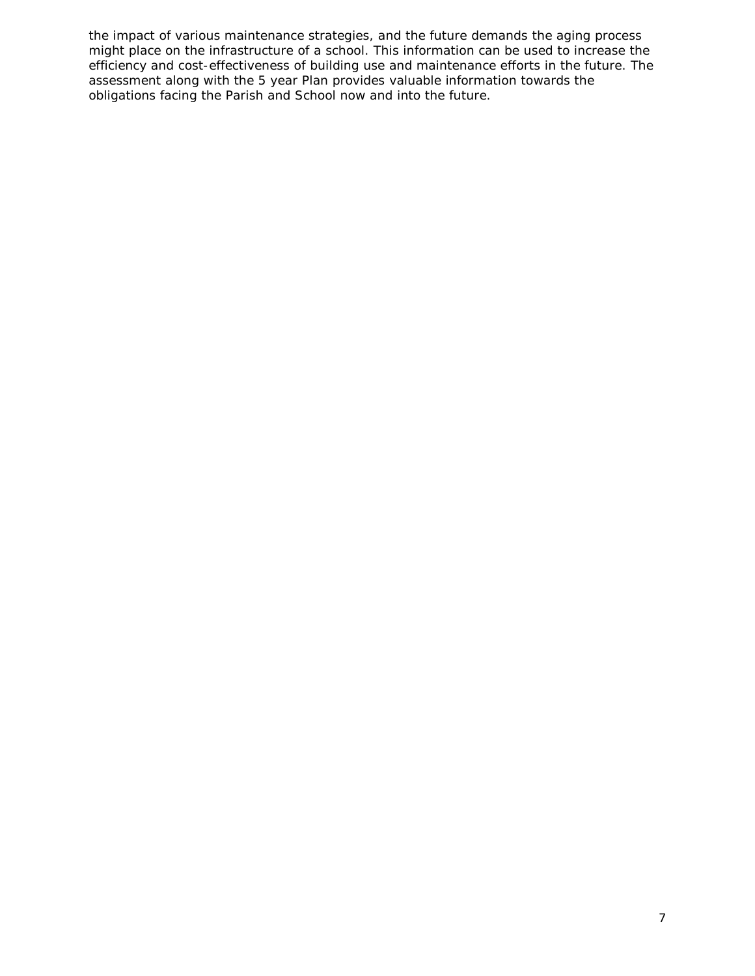the impact of various maintenance strategies, and the future demands the aging process might place on the infrastructure of a school. This information can be used to increase the efficiency and cost-effectiveness of building use and maintenance efforts in the future. The assessment along with the 5 year Plan provides valuable information towards the obligations facing the Parish and School now and into the future.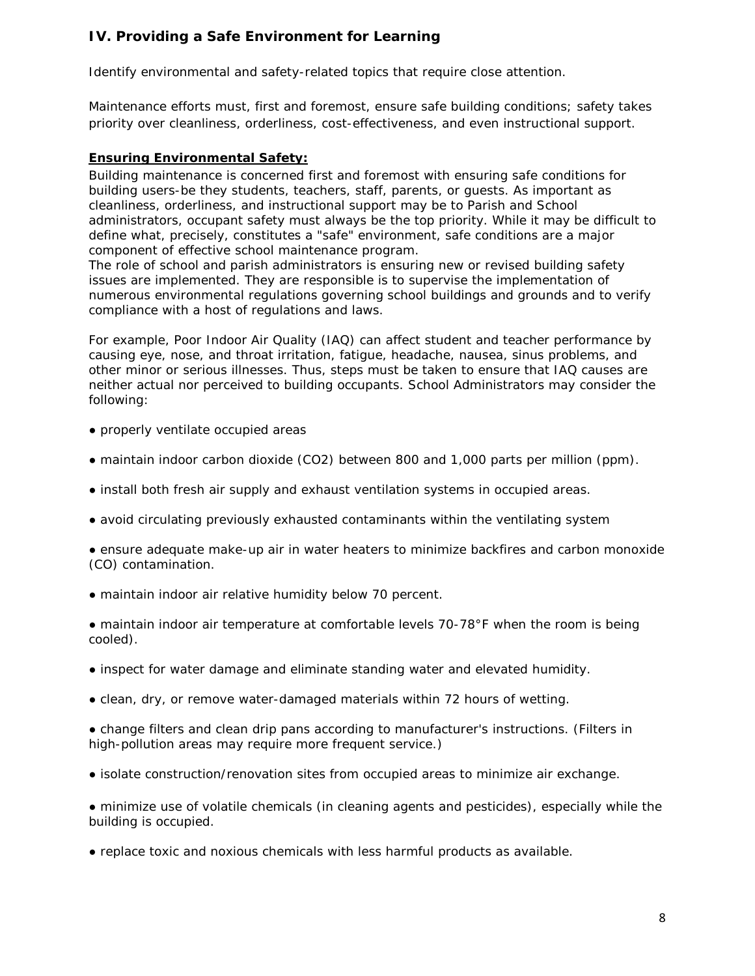# **IV. Providing a Safe Environment for Learning**

Identify environmental and safety-related topics that require close attention.

Maintenance efforts must, first and foremost, ensure safe building conditions; safety takes priority over cleanliness, orderliness, cost-effectiveness, and even instructional support.

### **Ensuring Environmental Safety:**

Building maintenance is concerned first and foremost with ensuring safe conditions for building users-be they students, teachers, staff, parents, or guests. As important as cleanliness, orderliness, and instructional support may be to Parish and School administrators, occupant safety must always be the top priority. While it may be difficult to define what, precisely, constitutes a "safe" environment, safe conditions are a major component of effective school maintenance program.

The role of school and parish administrators is ensuring new or revised building safety issues are implemented. They are responsible is to supervise the implementation of numerous environmental regulations governing school buildings and grounds and to verify compliance with a host of regulations and laws.

For example, Poor Indoor Air Quality (IAQ) can affect student and teacher performance by causing eye, nose, and throat irritation, fatigue, headache, nausea, sinus problems, and other minor or serious illnesses. Thus, steps must be taken to ensure that IAQ causes are neither actual nor perceived to building occupants. School Administrators may consider the following:

- properly ventilate occupied areas
- maintain indoor carbon dioxide (CO2) between 800 and 1,000 parts per million (ppm).
- install both fresh air supply and exhaust ventilation systems in occupied areas.
- avoid circulating previously exhausted contaminants within the ventilating system

● ensure adequate make-up air in water heaters to minimize backfires and carbon monoxide (CO) contamination.

- maintain indoor air relative humidity below 70 percent.
- maintain indoor air temperature at comfortable levels 70-78°F when the room is being cooled).
- inspect for water damage and eliminate standing water and elevated humidity.
- clean, dry, or remove water-damaged materials within 72 hours of wetting.

● change filters and clean drip pans according to manufacturer's instructions. (Filters in high-pollution areas may require more frequent service.)

● isolate construction/renovation sites from occupied areas to minimize air exchange.

● minimize use of volatile chemicals (in cleaning agents and pesticides), especially while the building is occupied.

● replace toxic and noxious chemicals with less harmful products as available.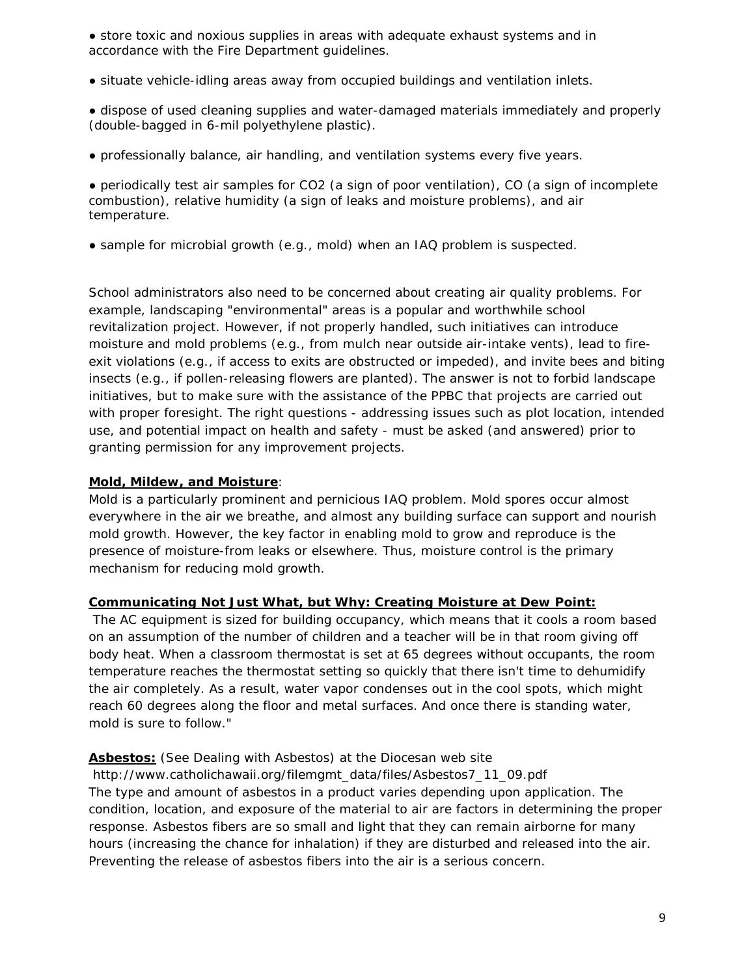• store toxic and noxious supplies in areas with adequate exhaust systems and in accordance with the Fire Department guidelines.

- situate vehicle-idling areas away from occupied buildings and ventilation inlets.
- dispose of used cleaning supplies and water-damaged materials immediately and properly (double-bagged in 6-mil polyethylene plastic).
- professionally balance, air handling, and ventilation systems every five years.

● periodically test air samples for CO2 (a sign of poor ventilation), CO (a sign of incomplete combustion), relative humidity (a sign of leaks and moisture problems), and air temperature.

• sample for microbial growth (e.g., mold) when an IAQ problem is suspected.

School administrators also need to be concerned about creating air quality problems. For example, landscaping "environmental" areas is a popular and worthwhile school revitalization project. However, if not properly handled, such initiatives can introduce moisture and mold problems (e.g., from mulch near outside air-intake vents), lead to fireexit violations (e.g., if access to exits are obstructed or impeded), and invite bees and biting insects (e.g., if pollen-releasing flowers are planted). The answer is not to forbid landscape initiatives, but to make sure with the assistance of the PPBC that projects are carried out with proper foresight. The right questions - addressing issues such as plot location, intended use, and potential impact on health and safety - must be asked (and answered) prior to granting permission for any improvement projects.

### **Mold, Mildew, and Moisture**:

Mold is a particularly prominent and pernicious IAQ problem. Mold spores occur almost everywhere in the air we breathe, and almost any building surface can support and nourish mold growth. However, the key factor in enabling mold to grow and reproduce is the presence of moisture-from leaks or elsewhere. Thus, moisture control is the primary mechanism for reducing mold growth.

#### **Communicating Not Just What, but Why: Creating Moisture at Dew Point:**

The AC equipment is sized for building occupancy, which means that it cools a room based on an assumption of the number of children and a teacher will be in that room giving off body heat. When a classroom thermostat is set at 65 degrees without occupants, the room temperature reaches the thermostat setting so quickly that there isn't time to dehumidify the air completely. As a result, water vapor condenses out in the cool spots, which might reach 60 degrees along the floor and metal surfaces. And once there is standing water, mold is sure to follow."

### **Asbestos:** (See Dealing with Asbestos) at the Diocesan web site

http://www.catholichawaii.org/filemgmt\_data/files/Asbestos7\_11\_09.pdf The type and amount of asbestos in a product varies depending upon application. The condition, location, and exposure of the material to air are factors in determining the proper response. Asbestos fibers are so small and light that they can remain airborne for many hours (increasing the chance for inhalation) if they are disturbed and released into the air. Preventing the release of asbestos fibers into the air is a serious concern.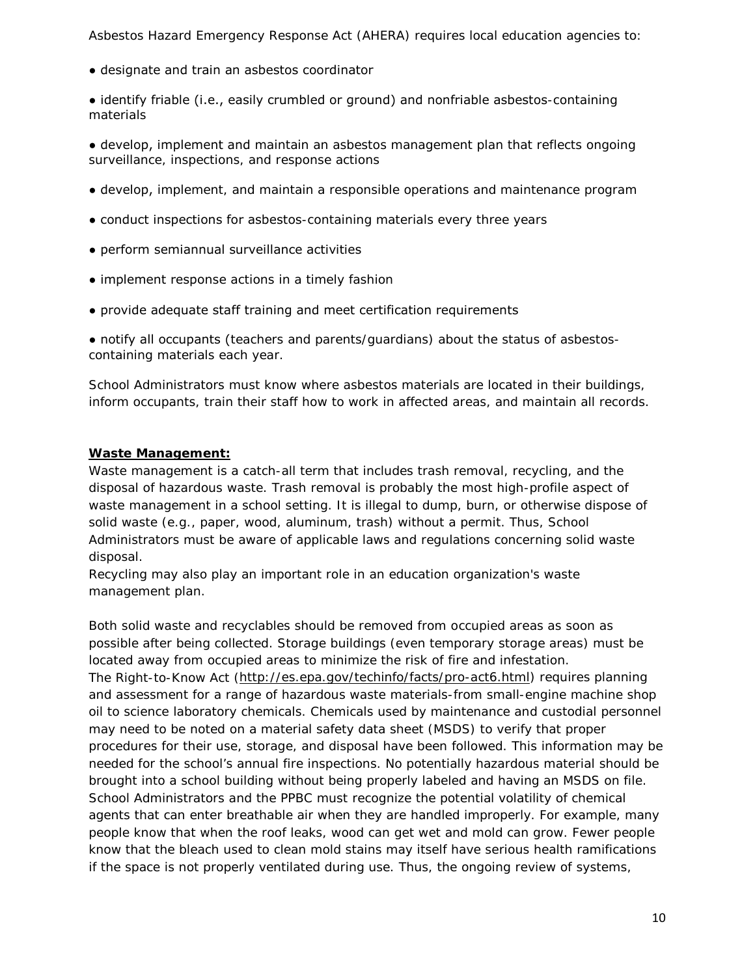Asbestos Hazard Emergency Response Act (AHERA) requires local education agencies to:

● designate and train an asbestos coordinator

● identify friable (i.e., easily crumbled or ground) and nonfriable asbestos-containing materials

● develop, implement and maintain an asbestos management plan that reflects ongoing surveillance, inspections, and response actions

- develop, implement, and maintain a responsible operations and maintenance program
- conduct inspections for asbestos-containing materials every three years
- perform semiannual surveillance activities
- implement response actions in a timely fashion
- provide adequate staff training and meet certification requirements

● notify all occupants (teachers and parents/guardians) about the status of asbestoscontaining materials each year.

School Administrators must know where asbestos materials are located in their buildings, inform occupants, train their staff how to work in affected areas, and maintain all records.

#### **Waste Management:**

Waste management is a catch-all term that includes trash removal, recycling, and the disposal of hazardous waste. Trash removal is probably the most high-profile aspect of waste management in a school setting. It is illegal to dump, burn, or otherwise dispose of solid waste (e.g., paper, wood, aluminum, trash) without a permit. Thus, School Administrators must be aware of applicable laws and regulations concerning solid waste disposal.

Recycling may also play an important role in an education organization's waste management plan.

Both solid waste and recyclables should be removed from occupied areas as soon as possible after being collected. Storage buildings (even temporary storage areas) must be located away from occupied areas to minimize the risk of fire and infestation. The Right-to-Know Act [\(http://es.epa.gov/techinfo/facts/pro-act6.html\)](http://nces.ed.gov/transfer.asp?location=es.epa.gov/techinfo/facts/pro-act6.html) requires planning and assessment for a range of hazardous waste materials-from small-engine machine shop oil to science laboratory chemicals. Chemicals used by maintenance and custodial personnel may need to be noted on a material safety data sheet (MSDS) to verify that proper procedures for their use, storage, and disposal have been followed. This information may be needed for the school's annual fire inspections. No potentially hazardous material should be brought into a school building without being properly labeled and having an MSDS on file. School Administrators and the PPBC must recognize the potential volatility of chemical agents that can enter breathable air when they are handled improperly. For example, many people know that when the roof leaks, wood can get wet and mold can grow. Fewer people know that the bleach used to clean mold stains may itself have serious health ramifications if the space is not properly ventilated during use. Thus, the ongoing review of systems,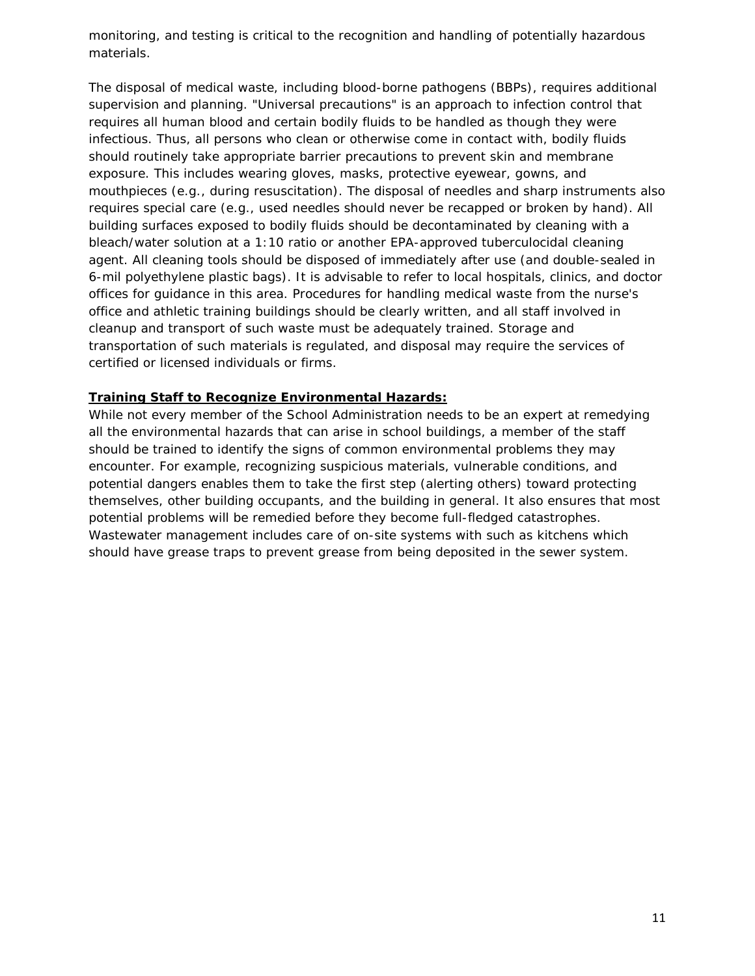monitoring, and testing is critical to the recognition and handling of potentially hazardous materials.

The disposal of medical waste, including blood-borne pathogens (BBPs), requires additional supervision and planning. "Universal precautions" is an approach to infection control that requires all human blood and certain bodily fluids to be handled as though they were infectious. Thus, all persons who clean or otherwise come in contact with, bodily fluids should routinely take appropriate barrier precautions to prevent skin and membrane exposure. This includes wearing gloves, masks, protective eyewear, gowns, and mouthpieces (e.g., during resuscitation). The disposal of needles and sharp instruments also requires special care (e.g., used needles should never be recapped or broken by hand). All building surfaces exposed to bodily fluids should be decontaminated by cleaning with a bleach/water solution at a 1:10 ratio or another EPA-approved tuberculocidal cleaning agent. All cleaning tools should be disposed of immediately after use (and double-sealed in 6-mil polyethylene plastic bags). It is advisable to refer to local hospitals, clinics, and doctor offices for guidance in this area. Procedures for handling medical waste from the nurse's office and athletic training buildings should be clearly written, and all staff involved in cleanup and transport of such waste must be adequately trained. Storage and transportation of such materials is regulated, and disposal may require the services of certified or licensed individuals or firms.

#### **Training Staff to Recognize Environmental Hazards:**

While not every member of the School Administration needs to be an expert at remedying all the environmental hazards that can arise in school buildings, a member of the staff should be trained to identify the signs of common environmental problems they may encounter. For example, recognizing suspicious materials, vulnerable conditions, and potential dangers enables them to take the first step (alerting others) toward protecting themselves, other building occupants, and the building in general. It also ensures that most potential problems will be remedied before they become full-fledged catastrophes. Wastewater management includes care of on-site systems with such as kitchens which should have grease traps to prevent grease from being deposited in the sewer system.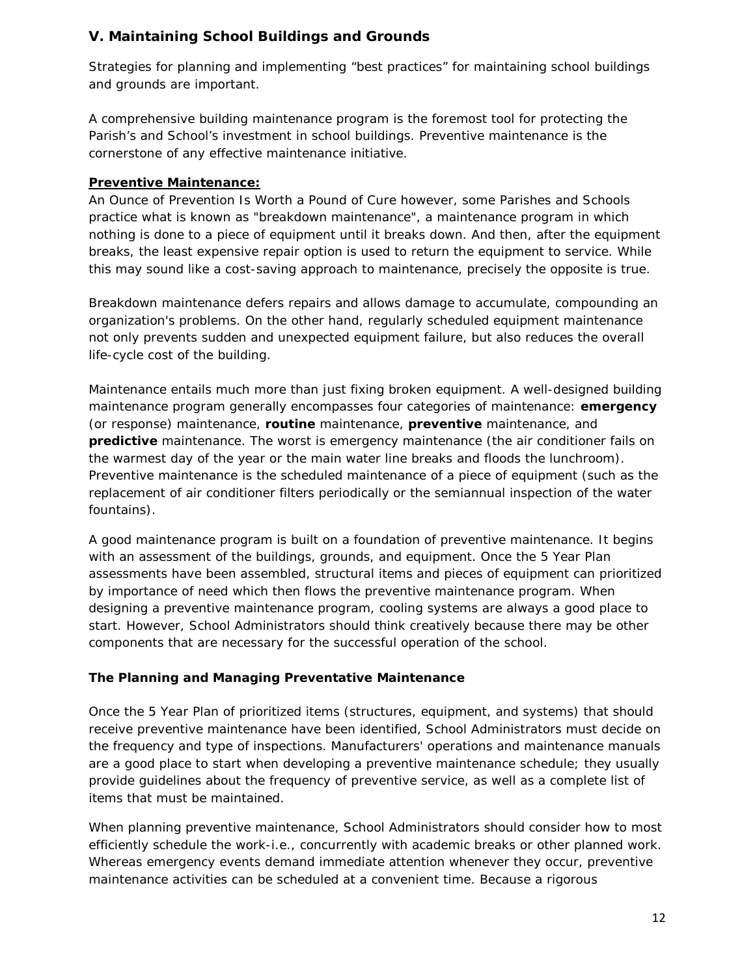# **V. Maintaining School Buildings and Grounds**

Strategies for planning and implementing "best practices" for maintaining school buildings and grounds are important.

A comprehensive building maintenance program is the foremost tool for protecting the Parish's and School's investment in school buildings. Preventive maintenance is the cornerstone of any effective maintenance initiative.

# **Preventive Maintenance:**

An Ounce of Prevention Is Worth a Pound of Cure however, some Parishes and Schools practice what is known as "breakdown maintenance", a maintenance program in which nothing is done to a piece of equipment until it breaks down. And then, after the equipment breaks, the least expensive repair option is used to return the equipment to service. While this may sound like a cost-saving approach to maintenance, precisely the opposite is true.

Breakdown maintenance defers repairs and allows damage to accumulate, compounding an organization's problems. On the other hand, regularly scheduled equipment maintenance not only prevents sudden and unexpected equipment failure, but also reduces the overall life-cycle cost of the building.

Maintenance entails much more than just fixing broken equipment. A well-designed building maintenance program generally encompasses four categories of maintenance: *emergency* (or response) maintenance, *routine* maintenance, *preventive* maintenance, and *predictive* maintenance. The worst is *emergency maintenance* (the air conditioner fails on the warmest day of the year or the main water line breaks and floods the lunchroom). *Preventive maintenance* is the scheduled maintenance of a piece of equipment (such as the replacement of air conditioner filters periodically or the semiannual inspection of the water fountains).

A good maintenance program is built on a foundation of preventive maintenance. It begins with an assessment of the buildings, grounds, and equipment. Once the 5 Year Plan assessments have been assembled, structural items and pieces of equipment can prioritized by importance of need which then flows the preventive maintenance program. When designing a preventive maintenance program, cooling systems are always a good place to start. However, School Administrators should think creatively because there may be other components that are necessary for the successful operation of the school.

# **The Planning and Managing Preventative Maintenance**

Once the 5 Year Plan of prioritized items (structures, equipment, and systems) that should receive preventive maintenance have been identified, School Administrators must decide on the frequency and type of inspections. Manufacturers' operations and maintenance manuals are a good place to start when developing a preventive maintenance schedule; they usually provide guidelines about the frequency of preventive service, as well as a complete list of items that must be maintained.

When planning preventive maintenance, School Administrators should consider how to most efficiently schedule the work-i.e., concurrently with academic breaks or other planned work. Whereas emergency events demand immediate attention whenever they occur, preventive maintenance activities can be scheduled at a convenient time. Because a rigorous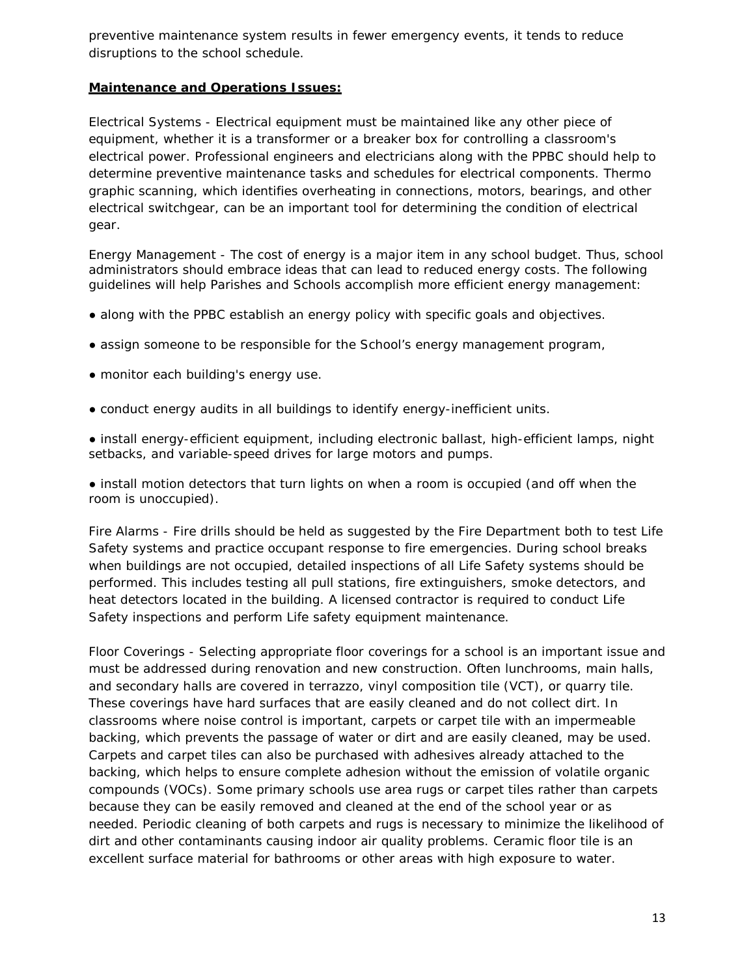preventive maintenance system results in fewer emergency events, it tends to reduce disruptions to the school schedule.

#### **Maintenance and Operations Issues:**

*Electrical Systems* - Electrical equipment must be maintained like any other piece of equipment, whether it is a transformer or a breaker box for controlling a classroom's electrical power. Professional engineers and electricians along with the PPBC should help to determine preventive maintenance tasks and schedules for electrical components. Thermo graphic scanning, which identifies overheating in connections, motors, bearings, and other electrical switchgear, can be an important tool for determining the condition of electrical gear.

*Energy Management* - The cost of energy is a major item in any school budget. Thus, school administrators should embrace ideas that can lead to reduced energy costs. The following guidelines will help Parishes and Schools accomplish more efficient energy management:

- along with the PPBC establish an energy policy with specific goals and objectives.
- assign someone to be responsible for the School's energy management program,
- monitor each building's energy use.
- conduct energy audits in all buildings to identify energy-inefficient units.

● install energy-efficient equipment, including electronic ballast, high-efficient lamps, night setbacks, and variable-speed drives for large motors and pumps.

• install motion detectors that turn lights on when a room is occupied (and off when the room is unoccupied).

*Fire Alarms* - Fire drills should be held as suggested by the Fire Department both to test Life Safety systems and practice occupant response to fire emergencies. During school breaks when buildings are not occupied, detailed inspections of all Life Safety systems should be performed. This includes testing all pull stations, fire extinguishers, smoke detectors, and heat detectors located in the building. A licensed contractor is required to conduct Life Safety inspections and perform Life safety equipment maintenance.

*Floor Coverings* - Selecting appropriate floor coverings for a school is an important issue and must be addressed during renovation and new construction. Often lunchrooms, main halls, and secondary halls are covered in terrazzo, vinyl composition tile (VCT), or quarry tile. These coverings have hard surfaces that are easily cleaned and do not collect dirt. In classrooms where noise control is important, carpets or carpet tile with an impermeable backing, which prevents the passage of water or dirt and are easily cleaned, may be used. Carpets and carpet tiles can also be purchased with adhesives already attached to the backing, which helps to ensure complete adhesion without the emission of volatile organic compounds (VOCs). Some primary schools use area rugs or carpet tiles rather than carpets because they can be easily removed and cleaned at the end of the school year or as needed. Periodic cleaning of both carpets and rugs is necessary to minimize the likelihood of dirt and other contaminants causing indoor air quality problems. Ceramic floor tile is an excellent surface material for bathrooms or other areas with high exposure to water.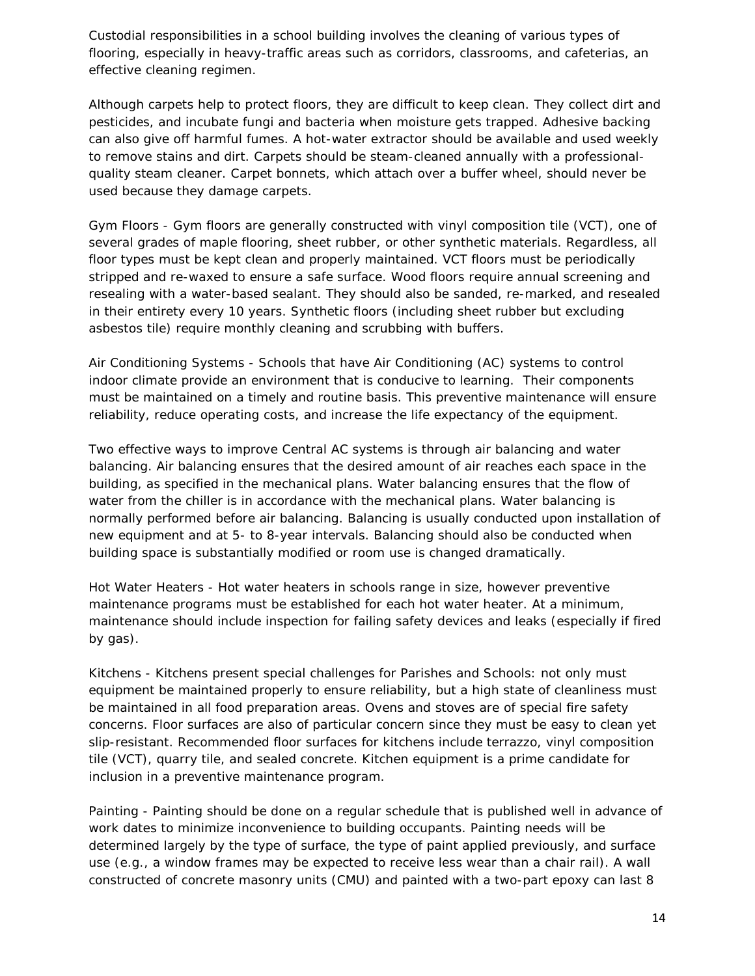Custodial responsibilities in a school building involves the cleaning of various types of flooring, especially in heavy-traffic areas such as corridors, classrooms, and cafeterias, an effective cleaning regimen.

Although carpets help to protect floors, they are difficult to keep clean. They collect dirt and pesticides, and incubate fungi and bacteria when moisture gets trapped. Adhesive backing can also give off harmful fumes. A hot-water extractor should be available and used weekly to remove stains and dirt. Carpets should be steam-cleaned annually with a professionalquality steam cleaner. Carpet bonnets, which attach over a buffer wheel, should never be used because they damage carpets.

*Gym Floors* - Gym floors are generally constructed with vinyl composition tile (VCT), one of several grades of maple flooring, sheet rubber, or other synthetic materials. Regardless, all floor types must be kept clean and properly maintained. VCT floors must be periodically stripped and re-waxed to ensure a safe surface. Wood floors require annual screening and resealing with a water-based sealant. They should also be sanded, re-marked, and resealed in their entirety every 10 years. Synthetic floors (including sheet rubber but excluding asbestos tile) require monthly cleaning and scrubbing with buffers.

*Air Conditioning Systems* - Schools that have Air Conditioning (AC) systems to control indoor climate provide an environment that is conducive to learning. Their components must be maintained on a timely and routine basis. This preventive maintenance will ensure reliability, reduce operating costs, and increase the life expectancy of the equipment.

Two effective ways to improve Central AC systems is through air balancing and water balancing. Air balancing ensures that the desired amount of air reaches each space in the building, as specified in the mechanical plans. Water balancing ensures that the flow of water from the chiller is in accordance with the mechanical plans. Water balancing is normally performed before air balancing. Balancing is usually conducted upon installation of new equipment and at 5- to 8-year intervals. Balancing should also be conducted when building space is substantially modified or room use is changed dramatically.

*Hot Water Heaters* - Hot water heaters in schools range in size, however preventive maintenance programs must be established for each hot water heater. At a minimum, maintenance should include inspection for failing safety devices and leaks (especially if fired by gas).

*Kitchens* - Kitchens present special challenges for Parishes and Schools: not only must equipment be maintained properly to ensure reliability, but a high state of cleanliness must be maintained in all food preparation areas. Ovens and stoves are of special fire safety concerns. Floor surfaces are also of particular concern since they must be easy to clean yet slip-resistant. Recommended floor surfaces for kitchens include terrazzo, vinyl composition tile (VCT), quarry tile, and sealed concrete. Kitchen equipment is a prime candidate for inclusion in a preventive maintenance program.

*Painting* - Painting should be done on a regular schedule that is published well in advance of work dates to minimize inconvenience to building occupants. Painting needs will be determined largely by the type of surface, the type of paint applied previously, and surface use (e.g., a window frames may be expected to receive less wear than a chair rail). A wall constructed of concrete masonry units (CMU) and painted with a two-part epoxy can last 8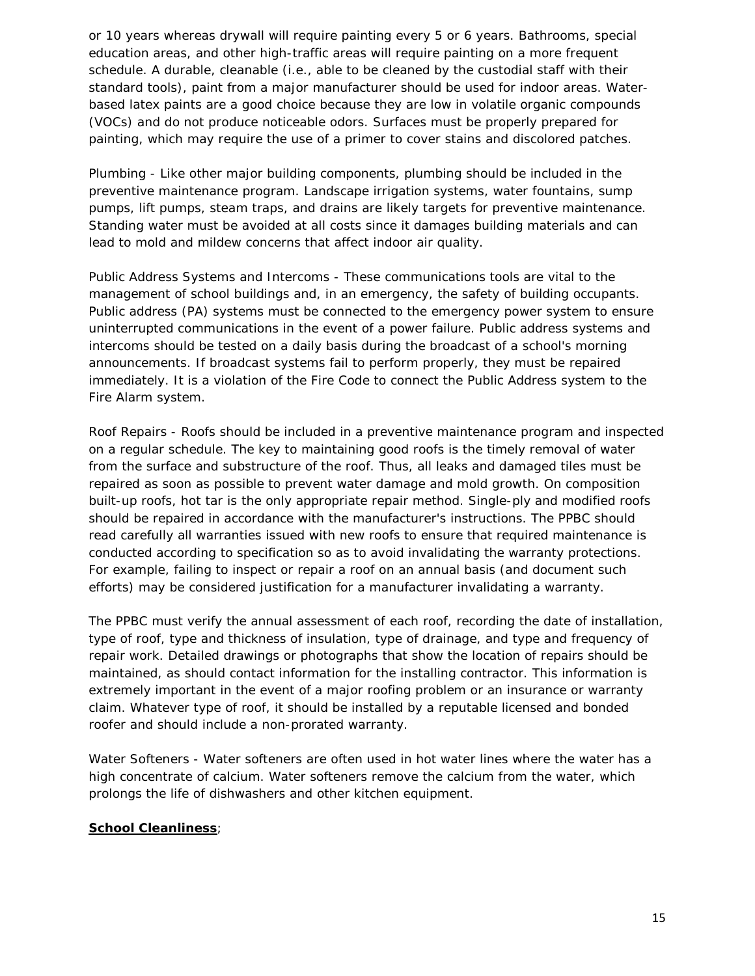or 10 years whereas drywall will require painting every 5 or 6 years. Bathrooms, special education areas, and other high-traffic areas will require painting on a more frequent schedule. A durable, cleanable (i.e., able to be cleaned by the custodial staff with their standard tools), paint from a major manufacturer should be used for indoor areas. Waterbased latex paints are a good choice because they are low in volatile organic compounds (VOCs) and do not produce noticeable odors. Surfaces must be properly prepared for painting, which may require the use of a primer to cover stains and discolored patches.

*Plumbing* - Like other major building components, plumbing should be included in the preventive maintenance program. Landscape irrigation systems, water fountains, sump pumps, lift pumps, steam traps, and drains are likely targets for preventive maintenance. Standing water must be avoided at all costs since it damages building materials and can lead to mold and mildew concerns that affect indoor air quality.

*Public Address Systems and Intercoms* - These communications tools are vital to the management of school buildings and, in an emergency, the safety of building occupants. Public address (PA) systems must be connected to the emergency power system to ensure uninterrupted communications in the event of a power failure. Public address systems and intercoms should be tested on a daily basis during the broadcast of a school's morning announcements. If broadcast systems fail to perform properly, they must be repaired immediately. It is a violation of the Fire Code to connect the Public Address system to the Fire Alarm system.

*Roof Repairs* - Roofs should be included in a preventive maintenance program and inspected on a regular schedule. The key to maintaining good roofs is the timely removal of water from the surface and substructure of the roof. Thus, all leaks and damaged tiles must be repaired as soon as possible to prevent water damage and mold growth. On composition built-up roofs, hot tar is the only appropriate repair method. Single-ply and modified roofs should be repaired in accordance with the manufacturer's instructions. The PPBC should read carefully all warranties issued with new roofs to ensure that required maintenance is conducted according to specification so as to avoid invalidating the warranty protections. For example, failing to inspect or repair a roof on an annual basis (and document such efforts) may be considered justification for a manufacturer invalidating a warranty.

The PPBC must verify the annual assessment of each roof, recording the date of installation, type of roof, type and thickness of insulation, type of drainage, and type and frequency of repair work. Detailed drawings or photographs that show the location of repairs should be maintained, as should contact information for the installing contractor. This information is extremely important in the event of a major roofing problem or an insurance or warranty claim. Whatever type of roof, it should be installed by a reputable licensed and bonded roofer and should include a non-prorated warranty.

*Water Softeners* - Water softeners are often used in hot water lines where the water has a high concentrate of calcium. Water softeners remove the calcium from the water, which prolongs the life of dishwashers and other kitchen equipment.

#### **School Cleanliness**;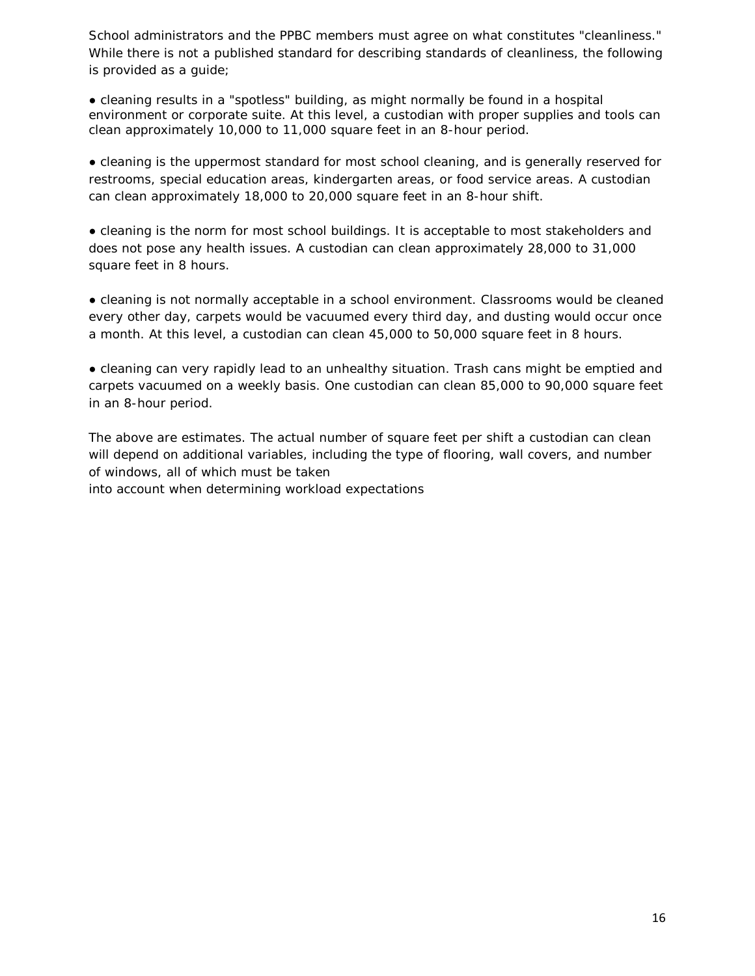School administrators and the PPBC members must agree on what constitutes "cleanliness." While there is not a published standard for describing standards of cleanliness, the following is provided as a guide;

*●* cleaning results in a "spotless" building, as might normally be found in a hospital environment or corporate suite. At this level, a custodian with proper supplies and tools can clean approximately 10,000 to 11,000 square feet in an 8-hour period.

*●* cleaning is the uppermost standard for most school cleaning, and is generally reserved for restrooms, special education areas, kindergarten areas, or food service areas. A custodian can clean approximately 18,000 to 20,000 square feet in an 8-hour shift.

*●* cleaning is the norm for most school buildings. It is acceptable to most stakeholders and does not pose any health issues. A custodian can clean approximately 28,000 to 31,000 square feet in 8 hours.

*●* cleaning is not normally acceptable in a school environment. Classrooms would be cleaned every other day, carpets would be vacuumed every third day, and dusting would occur once a month. At this level, a custodian can clean 45,000 to 50,000 square feet in 8 hours.

*●* cleaning can very rapidly lead to an unhealthy situation. Trash cans might be emptied and carpets vacuumed on a weekly basis. One custodian can clean 85,000 to 90,000 square feet in an 8-hour period.

The above are estimates. The actual number of square feet per shift a custodian can clean will depend on additional variables, including the type of flooring, wall covers, and number of windows, all of which must be taken into account when determining workload expectations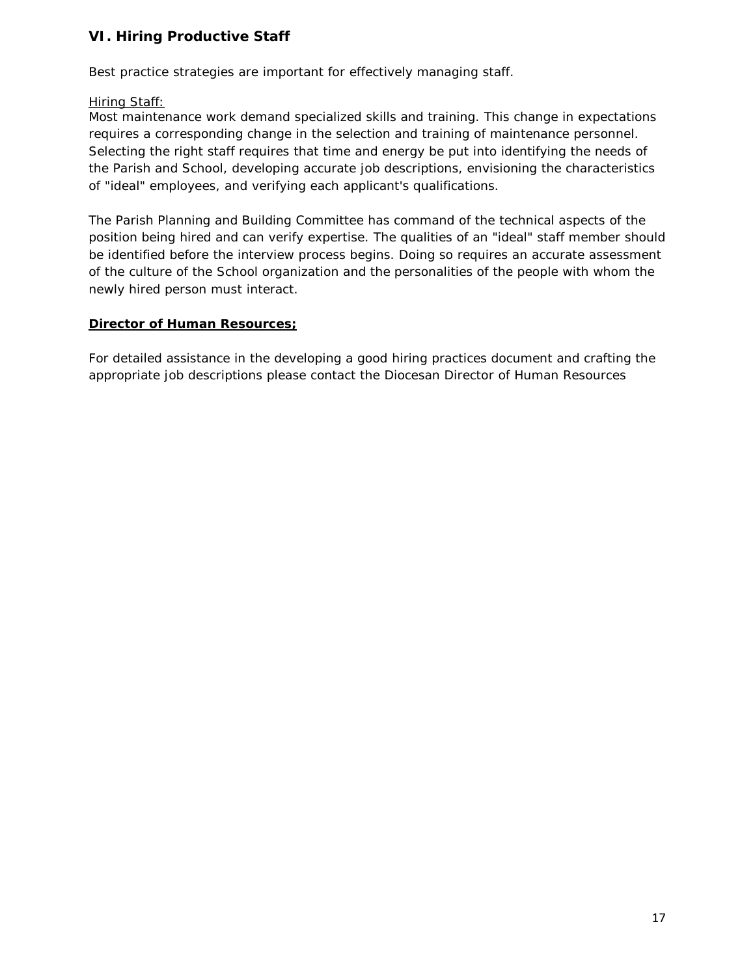# **VI. Hiring Productive Staff**

Best practice strategies are important for effectively managing staff.

### Hiring Staff:

Most maintenance work demand specialized skills and training. This change in expectations requires a corresponding change in the selection and training of maintenance personnel. Selecting the right staff requires that time and energy be put into identifying the needs of the Parish and School, developing accurate job descriptions, envisioning the characteristics of "ideal" employees, and verifying each applicant's qualifications.

The Parish Planning and Building Committee has command of the technical aspects of the position being hired and can verify expertise. The qualities of an "ideal" staff member should be identified before the interview process begins. Doing so requires an accurate assessment of the culture of the School organization and the personalities of the people with whom the newly hired person must interact.

#### **Director of Human Resources;**

For detailed assistance in the developing a good hiring practices document and crafting the appropriate job descriptions please contact the Diocesan Director of Human Resources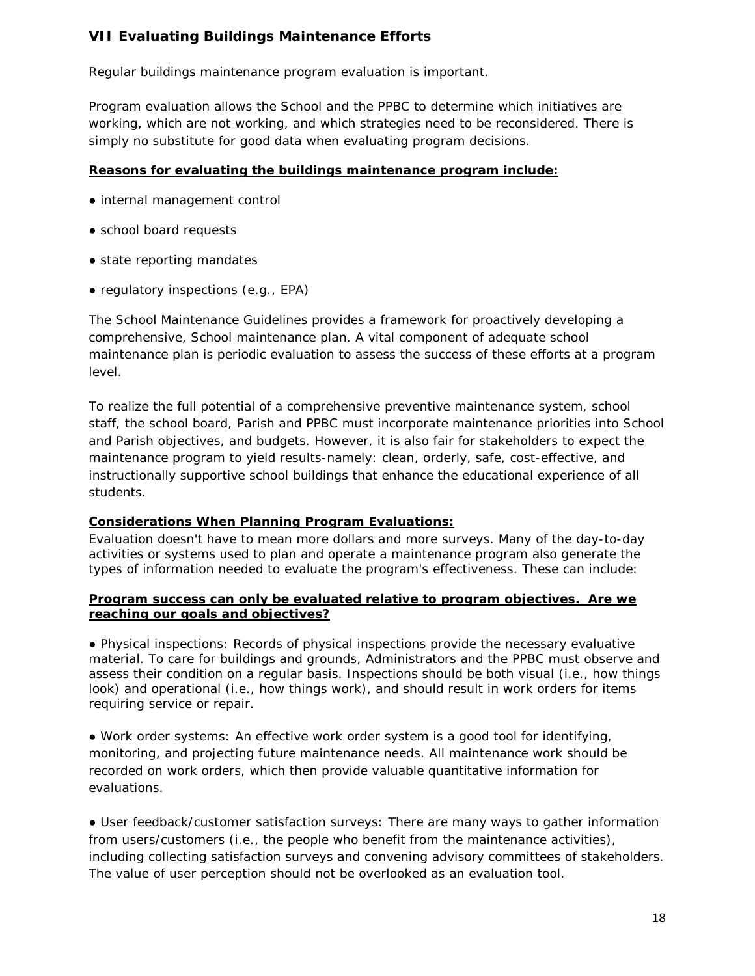# **VII Evaluating Buildings Maintenance Efforts**

Regular buildings maintenance program evaluation is important.

Program evaluation allows the School and the PPBC to determine which initiatives are working, which are not working, and which strategies need to be reconsidered. There is simply no substitute for good data when evaluating program decisions.

#### **Reasons for evaluating the buildings maintenance program include:**

- internal management control
- school board requests
- state reporting mandates
- regulatory inspections (e.g., EPA)

The School Maintenance Guidelines provides a framework for proactively developing a comprehensive, School maintenance plan. A vital component of adequate school maintenance plan is periodic evaluation to assess the success of these efforts at a program level.

To realize the full potential of a comprehensive preventive maintenance system, school staff, the school board, Parish and PPBC must incorporate maintenance priorities into School and Parish objectives, and budgets. However, it is also fair for stakeholders to expect the maintenance program to yield results-namely: clean, orderly, safe, cost-effective, and instructionally supportive school buildings that enhance the educational experience of all students.

### **Considerations When Planning Program Evaluations:**

Evaluation doesn't have to mean more dollars and more surveys. Many of the day-to-day activities or systems used to plan and operate a maintenance program also generate the types of information needed to evaluate the program's effectiveness. These can include:

#### **Program success can only be evaluated relative to program objectives. Are we reaching our goals and objectives?**

*●* Physical inspections: Records of physical inspections provide the necessary evaluative material. To care for buildings and grounds, Administrators and the PPBC must observe and assess their condition on a regular basis. Inspections should be both visual (i.e., how things look) and operational (i.e., how things work), and should result in work orders for items requiring service or repair.

*●* Work order systems*:* An effective work order system is a good tool for identifying, monitoring, and projecting future maintenance needs. All maintenance work should be recorded on work orders, which then provide valuable quantitative information for evaluations.

*●* User feedback/customer satisfaction surveys: There are many ways to gather information from users/customers (i.e., the people who benefit from the maintenance activities), including collecting satisfaction surveys and convening advisory committees of stakeholders. The value of user perception should not be overlooked as an evaluation tool.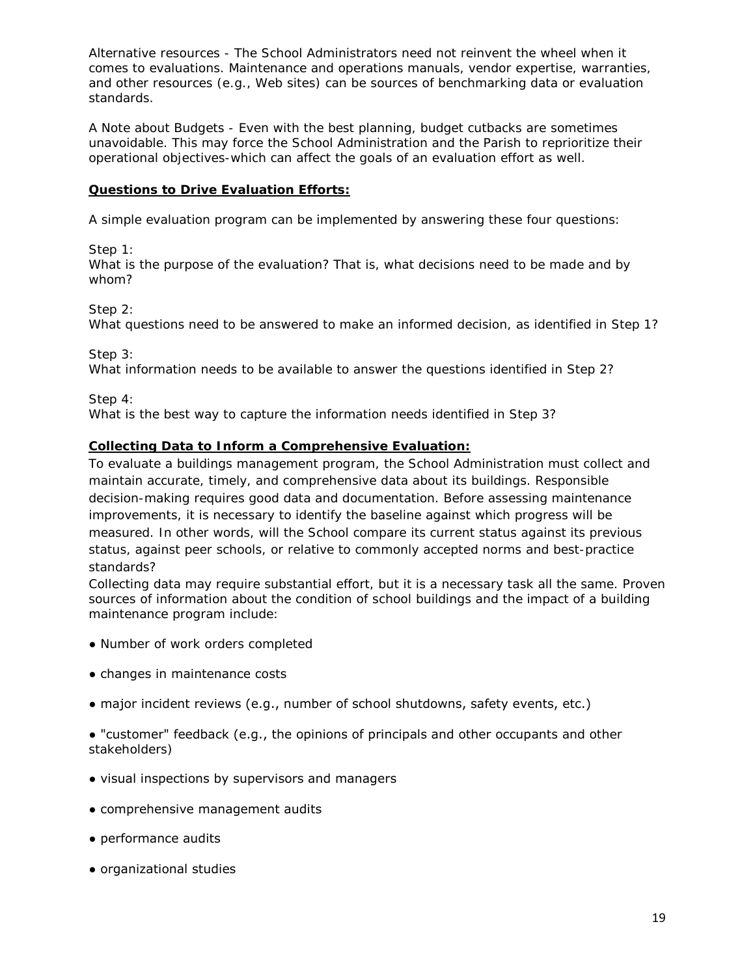*Alternative resources -* The School Administrators need not reinvent the wheel when it comes to evaluations. Maintenance and operations manuals, vendor expertise, warranties, and other resources (e.g., Web sites) can be sources of benchmarking data or evaluation standards.

*A Note about Budgets -* Even with the best planning, budget cutbacks are sometimes unavoidable. This may force the School Administration and the Parish to reprioritize their operational objectives-which can affect the goals of an evaluation effort as well.

### **Questions to Drive Evaluation Efforts:**

A simple evaluation program can be implemented by answering these four questions:

Step 1:

What is the purpose of the evaluation? That is, what decisions need to be made and by whom?

Step 2:

What questions need to be answered to make an informed decision, as identified in Step 1?

Step 3:

What information needs to be available to answer the questions identified in Step 2?

Step 4:

What is the best way to capture the information needs identified in Step 3?

#### **Collecting Data to Inform a Comprehensive Evaluation:**

To evaluate a buildings management program, the School Administration must collect and maintain accurate, timely, and comprehensive data about its buildings. Responsible decision-making requires good data and documentation. Before assessing maintenance improvements, it is necessary to identify the baseline against which progress will be measured. In other words, will the School compare its current status against its previous status, against peer schools, or relative to commonly accepted norms and best-practice standards?

Collecting data may require substantial effort, but it is a necessary task all the same. Proven sources of information about the condition of school buildings and the impact of a building maintenance program include:

- Number of work orders completed
- changes in maintenance costs
- major incident reviews (e.g., number of school shutdowns, safety events, etc.)

● "customer" feedback (e.g., the opinions of principals and other occupants and other stakeholders)

- visual inspections by supervisors and managers
- comprehensive management audits
- performance audits
- organizational studies